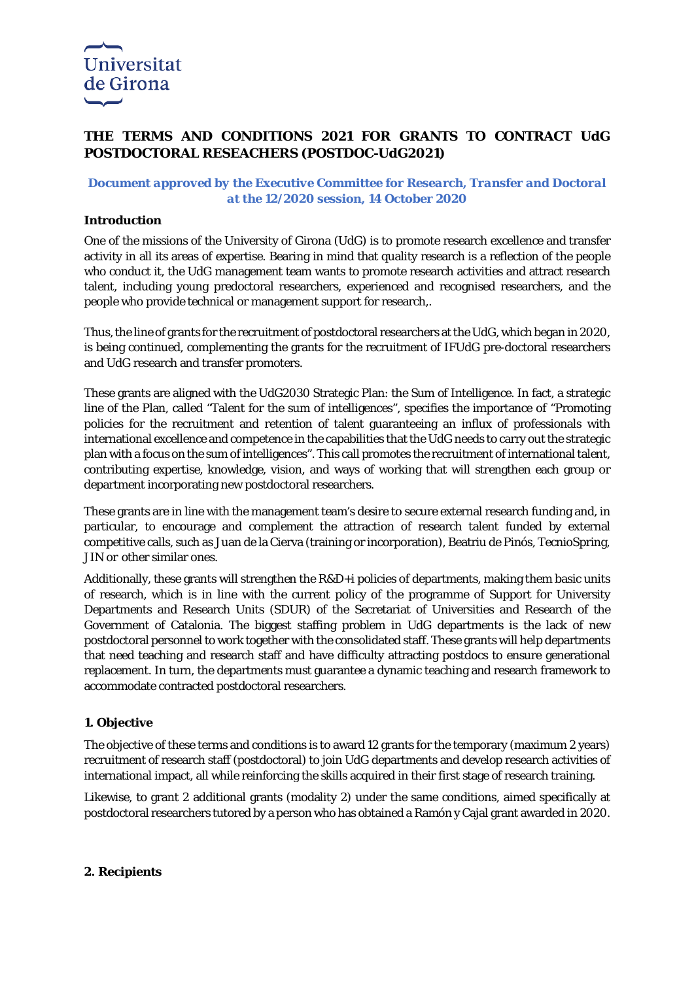

## **THE TERMS AND CONDITIONS 2021 FOR GRANTS TO CONTRACT UdG POSTDOCTORAL RESEACHERS (POSTDOC-UdG2021)**

## *Document approved by the Executive Committee for Research, Transfer and Doctoral at the 12/2020 session, 14 October 2020*

#### **Introduction**

One of the missions of the University of Girona (UdG) is to promote research excellence and transfer activity in all its areas of expertise. Bearing in mind that quality research is a reflection of the people who conduct it, the UdG management team wants to promote research activities and attract research talent, including young predoctoral researchers, experienced and recognised researchers, and the people who provide technical or management support for research,.

Thus, the line of grants for the recruitment of postdoctoral researchers at the UdG, which began in 2020, is being continued, complementing the grants for the recruitment of IFUdG pre-doctoral researchers and UdG research and transfer promoters.

These grants are aligned with the UdG2030 Strategic Plan: the Sum of Intelligence. In fact, a strategic line of the Plan, called "Talent for the sum of intelligences", specifies the importance of "Promoting policies for the recruitment and retention of talent guaranteeing an influx of professionals with international excellence and competence in the capabilities that the UdG needs to carry out the strategic plan with a focus on the sum of intelligences". This call promotes the recruitment of international talent, contributing expertise, knowledge, vision, and ways of working that will strengthen each group or department incorporating new postdoctoral researchers.

These grants are in line with the management team's desire to secure external research funding and, in particular, to encourage and complement the attraction of research talent funded by external competitive calls, such as Juan de la Cierva (training or incorporation), Beatriu de Pinós, TecnioSpring, JIN or other similar ones.

Additionally, these grants will strengthen the R&D+i policies of departments, making them basic units of research, which is in line with the current policy of the programme of Support for University Departments and Research Units (SDUR) of the Secretariat of Universities and Research of the Government of Catalonia. The biggest staffing problem in UdG departments is the lack of new postdoctoral personnel to work together with the consolidated staff. These grants will help departments that need teaching and research staff and have difficulty attracting postdocs to ensure generational replacement. In turn, the departments must guarantee a dynamic teaching and research framework to accommodate contracted postdoctoral researchers.

#### **1. Objective**

The objective of these terms and conditions is to award 12 grants for the temporary (maximum 2 years) recruitment of research staff (postdoctoral) to join UdG departments and develop research activities of international impact, all while reinforcing the skills acquired in their first stage of research training.

Likewise, to grant 2 additional grants (modality 2) under the same conditions, aimed specifically at postdoctoral researchers tutored by a person who has obtained a Ramón y Cajal grant awarded in 2020.

#### **2. Recipients**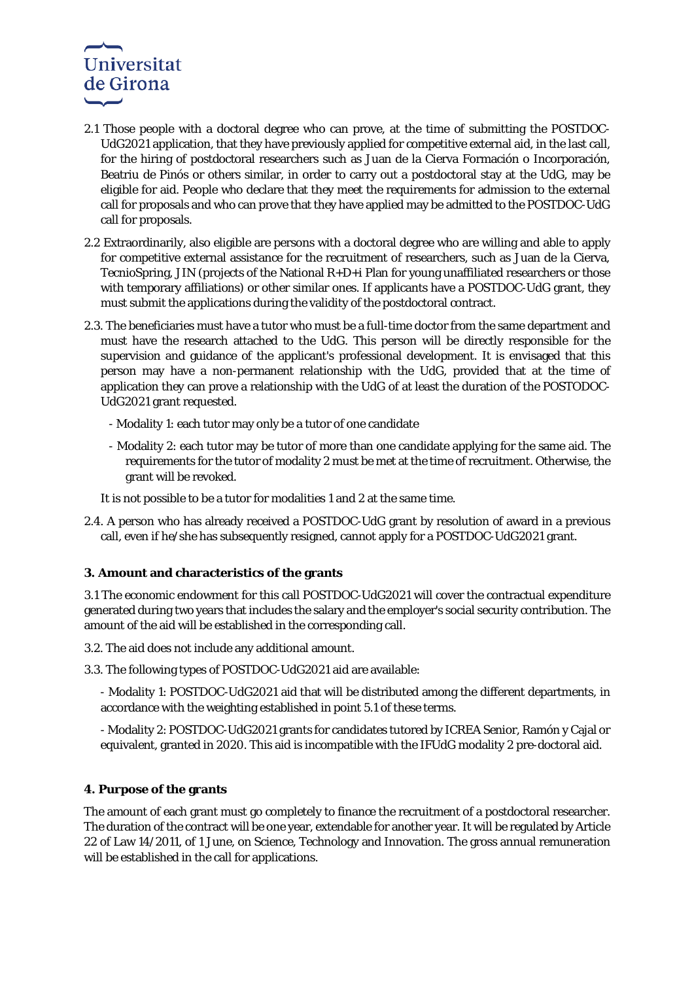# Universitat de Girona

- 2.1 Those people with a doctoral degree who can prove, at the time of submitting the POSTDOC-UdG2021 application, that they have previously applied for competitive external aid, in the last call, for the hiring of postdoctoral researchers such as Juan de la Cierva Formación o Incorporación, Beatriu de Pinós or others similar, in order to carry out a postdoctoral stay at the UdG, may be eligible for aid. People who declare that they meet the requirements for admission to the external call for proposals and who can prove that they have applied may be admitted to the POSTDOC-UdG call for proposals.
- 2.2 Extraordinarily, also eligible are persons with a doctoral degree who are willing and able to apply for competitive external assistance for the recruitment of researchers, such as Juan de la Cierva, TecnioSpring, JIN (projects of the National R+D+i Plan for young unaffiliated researchers or those with temporary affiliations) or other similar ones. If applicants have a POSTDOC-UdG grant, they must submit the applications during the validity of the postdoctoral contract.
- 2.3. The beneficiaries must have a tutor who must be a full-time doctor from the same department and must have the research attached to the UdG. This person will be directly responsible for the supervision and guidance of the applicant's professional development. It is envisaged that this person may have a non-permanent relationship with the UdG, provided that at the time of application they can prove a relationship with the UdG of at least the duration of the POSTODOC-UdG2021 grant requested.
	- Modality 1: each tutor may only be a tutor of one candidate
	- Modality 2: each tutor may be tutor of more than one candidate applying for the same aid. The requirements for the tutor of modality 2 must be met at the time of recruitment. Otherwise, the grant will be revoked.
	- It is not possible to be a tutor for modalities 1 and 2 at the same time.
- 2.4. A person who has already received a POSTDOC-UdG grant by resolution of award in a previous call, even if he/she has subsequently resigned, cannot apply for a POSTDOC-UdG2021 grant.

## **3. Amount and characteristics of the grants**

3.1 The economic endowment for this call POSTDOC-UdG2021 will cover the contractual expenditure generated during two years that includes the salary and the employer's social security contribution. The amount of the aid will be established in the corresponding call.

- 3.2. The aid does not include any additional amount.
- 3.3. The following types of POSTDOC-UdG2021 aid are available:
	- Modality 1: POSTDOC-UdG2021 aid that will be distributed among the different departments, in accordance with the weighting established in point 5.1 of these terms.
	- Modality 2: POSTDOC-UdG2021 grants for candidates tutored by ICREA Senior, Ramón y Cajal or equivalent, granted in 2020. This aid is incompatible with the IFUdG modality 2 pre-doctoral aid.

## **4. Purpose of the grants**

The amount of each grant must go completely to finance the recruitment of a postdoctoral researcher. The duration of the contract will be one year, extendable for another year. It will be regulated by Article 22 of Law 14/2011, of 1 June, on Science, Technology and Innovation. The gross annual remuneration will be established in the call for applications.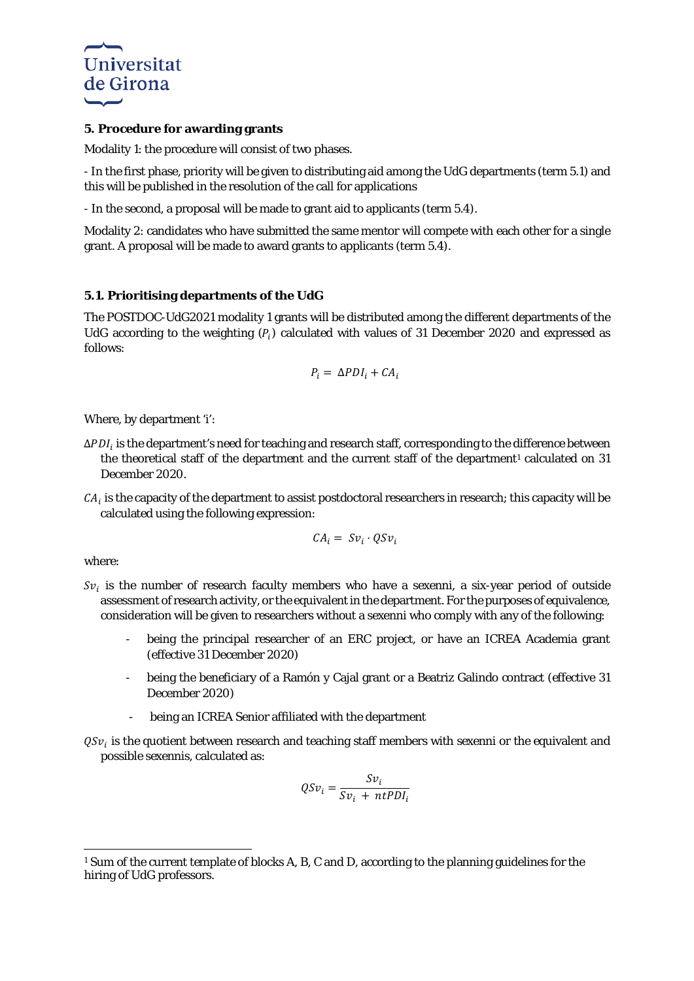

#### **5. Procedure for awarding grants**

Modality 1: the procedure will consist of two phases.

- In the first phase, priority will be given to distributing aid among the UdG departments (term 5.1) and this will be published in the resolution of the call for applications

- In the second, a proposal will be made to grant aid to applicants (term 5.4).

Modality 2: candidates who have submitted the same mentor will compete with each other for a single grant. A proposal will be made to award grants to applicants (term 5.4).

## **5.1. Prioritising departments of the UdG**

The POSTDOC-UdG2021 modality 1 grants will be distributed among the different departments of the UdG according to the weighting  $(P_i)$  calculated with values of 31 December 2020 and expressed as follows:

$$
P_i = \Delta P D I_i + C A_i
$$

Where, by department 'i':

- $\Delta PDI_i$  is the department's need for teaching and research staff, corresponding to the difference between the theoretical staff of the department and the current staff of the department<sup>[1](#page-2-0)</sup> calculated on 31 December 2020.
- $CA<sub>i</sub>$  is the capacity of the department to assist postdoctoral researchers in research; this capacity will be calculated using the following expression:

$$
\mathcal{C} A_i = \mathcal{S} \nu_i \cdot \mathcal{Q} \mathcal{S} \nu_i
$$

where:

- $Sv_i$  is the number of research faculty members who have a *sexenni*, a six-year period of outside assessment of research activity, or the equivalent in the department. For the purposes of equivalence, consideration will be given to researchers without a *sexenni* who comply with any of the following:
	- being the principal researcher of an ERC project, or have an ICREA Academia grant (effective 31 December 2020)
	- being the beneficiary of a Ramón y Cajal grant or a Beatriz Galindo contract (effective 31 December 2020)
	- being an ICREA Senior affiliated with the department
- $QSv_i$  is the quotient between research and teaching staff members with *sexenni* or the equivalent and possible *sexennis*, calculated as:

$$
QSv_i = \frac{Sv_i}{Sv_i + ntPDI_i}
$$

<span id="page-2-0"></span>**<sup>.</sup>** <sup>1</sup> Sum of the current template of blocks A, B, C and D, according to the planning guidelines for the hiring of UdG professors.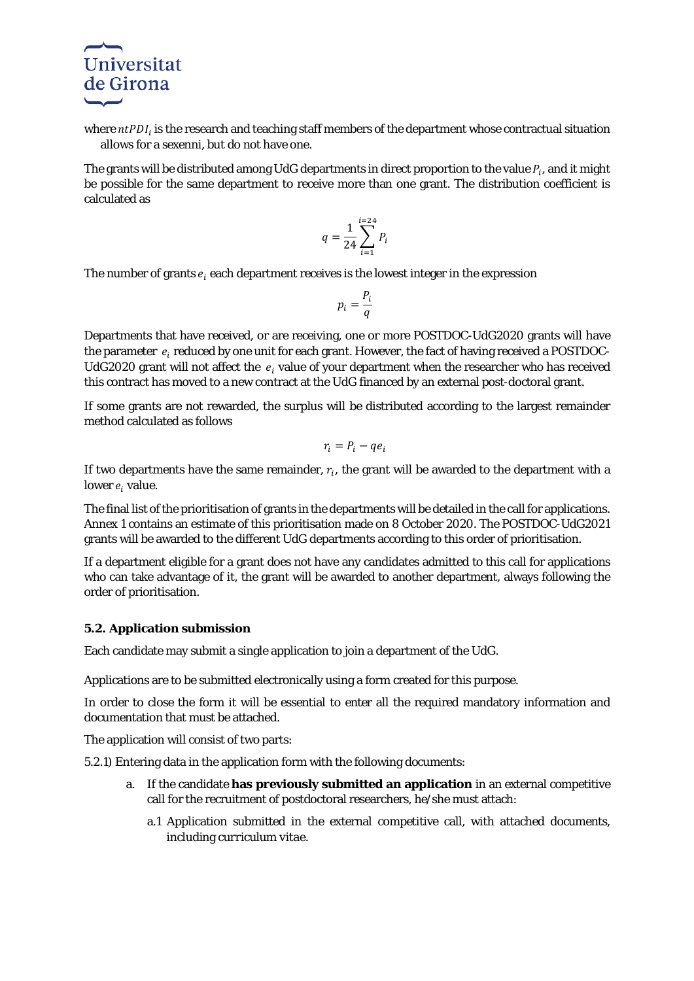

where  $ntPDI_i$  is the research and teaching staff members of the department whose contractual situation allows for a *sexenni*, but do not have one.

The grants will be distributed among UdG departments in direct proportion to the value  $P_i$ , and it might be possible for the same department to receive more than one grant. The distribution coefficient is calculated as

$$
q = \frac{1}{24} \sum_{i=1}^{i=24} P_i
$$

The number of grants  $e_i$  each department receives is the lowest integer in the expression

$$
p_i = \frac{P_i}{q}
$$

Departments that have received, or are receiving, one or more POSTDOC-UdG2020 grants will have the parameter  $e_i$  reduced by one unit for each grant. However, the fact of having received a POSTDOC-UdG2020 grant will not affect the  $e_i$  value of your department when the researcher who has received this contract has moved to a new contract at the UdG financed by an external post-doctoral grant.

If some grants are not rewarded, the surplus will be distributed according to the largest remainder method calculated as follows

$$
r_i = P_i - q e_i
$$

If two departments have the same remainder,  $r_i$ , the grant will be awarded to the department with a lower  $e_i$  value.

The final list of the prioritisation of grants in the departments will be detailed in the call for applications. Annex 1 contains an estimate of this prioritisation made on 8 October 2020. The POSTDOC-UdG2021 grants will be awarded to the different UdG departments according to this order of prioritisation.

If a department eligible for a grant does not have any candidates admitted to this call for applications who can take advantage of it, the grant will be awarded to another department, always following the order of prioritisation.

#### **5.2. Application submission**

Each candidate may submit a single application to join a department of the UdG.

Applications are to be submitted electronically using a form created for this purpose.

In order to close the form it will be essential to enter all the required mandatory information and documentation that must be attached.

The application will consist of two parts:

5.2.1) Entering data in the application form with the following documents:

- a. If the candidate **has previously submitted an application** in an external competitive call for the recruitment of postdoctoral researchers, he/she must attach:
	- a.1 Application submitted in the external competitive call, with attached documents, including *curriculum vitae*.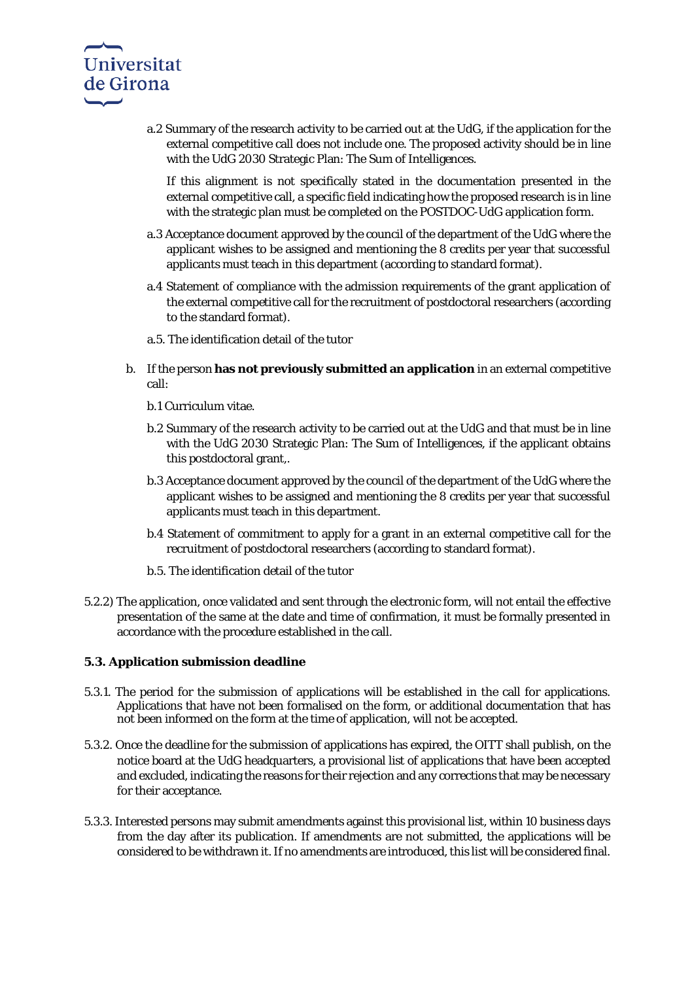

a.2 Summary of the research activity to be carried out at the UdG, if the application for the external competitive call does not include one. The proposed activity should be in line with the UdG 2030 Strategic Plan: The Sum of Intelligences.

If this alignment is not specifically stated in the documentation presented in the external competitive call, a specific field indicating how the proposed research is in line with the strategic plan must be completed on the POSTDOC-UdG application form.

- a.3 Acceptance document approved by the council of the department of the UdG where the applicant wishes to be assigned and mentioning the 8 credits per year that successful applicants must teach in this department (according to standard format).
- a.4 Statement of compliance with the admission requirements of the grant application of the external competitive call for the recruitment of postdoctoral researchers (according to the standard format).
- a.5. The identification detail of the tutor
- b. If the person **has not previously submitted an application** in an external competitive call:
	- b.1 Curriculum vitae.
	- b.2 Summary of the research activity to be carried out at the UdG and that must be in line with the UdG 2030 Strategic Plan: The Sum of Intelligences, if the applicant obtains this postdoctoral grant,.
	- b.3 Acceptance document approved by the council of the department of the UdG where the applicant wishes to be assigned and mentioning the 8 credits per year that successful applicants must teach in this department.
	- b.4 Statement of commitment to apply for a grant in an external competitive call for the recruitment of postdoctoral researchers (according to standard format).
	- b.5. The identification detail of the tutor
- 5.2.2) The application, once validated and sent through the electronic form, will not entail the effective presentation of the same at the date and time of confirmation, it must be formally presented in accordance with the procedure established in the call.

#### **5.3. Application submission deadline**

- 5.3.1. The period for the submission of applications will be established in the call for applications. Applications that have not been formalised on the form, or additional documentation that has not been informed on the form at the time of application, will not be accepted.
- 5.3.2. Once the deadline for the submission of applications has expired, the OITT shall publish, on the notice board at the UdG headquarters, a provisional list of applications that have been accepted and excluded, indicating the reasons for their rejection and any corrections that may be necessary for their acceptance.
- 5.3.3. Interested persons may submit amendments against this provisional list, within 10 business days from the day after its publication. If amendments are not submitted, the applications will be considered to be withdrawn it. If no amendments are introduced, this list will be considered final.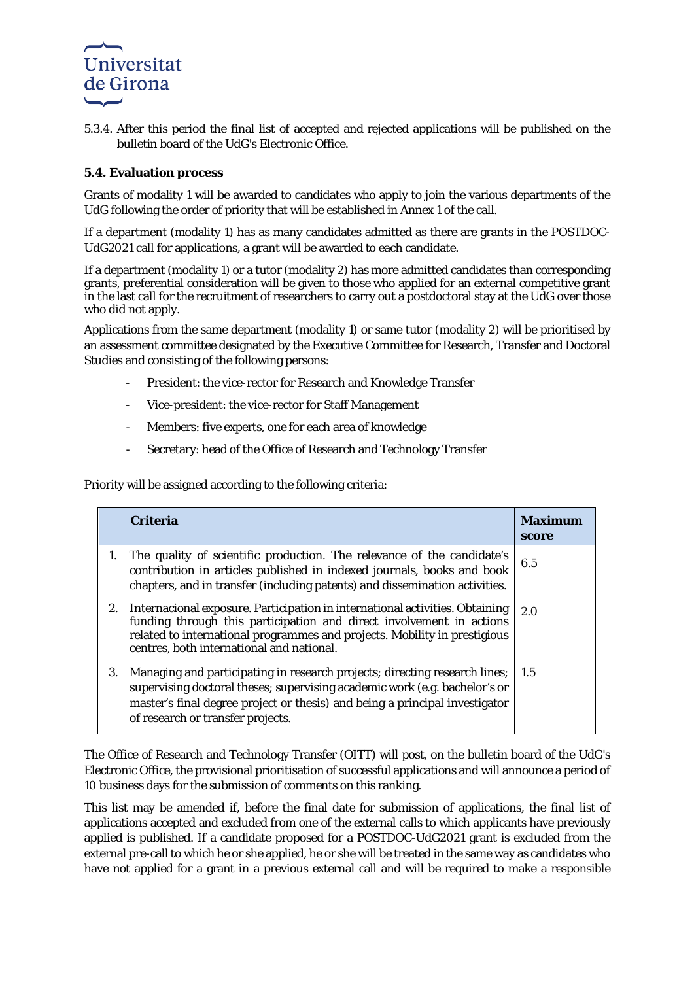

5.3.4. After this period the final list of accepted and rejected applications will be published on the bulletin board of the UdG's Electronic Office.

### **5.4. Evaluation process**

Grants of modality 1 will be awarded to candidates who apply to join the various departments of the UdG following the order of priority that will be established in Annex 1 of the call.

If a department (modality 1) has as many candidates admitted as there are grants in the POSTDOC-UdG2021 call for applications, a grant will be awarded to each candidate.

If a department (modality 1) or a tutor (modality 2) has more admitted candidates than corresponding grants, preferential consideration will be given to those who applied for an external competitive grant in the last call for the recruitment of researchers to carry out a postdoctoral stay at the UdG over those who did not apply.

Applications from the same department (modality 1) or same tutor (modality 2) will be prioritised by an assessment committee designated by the Executive Committee for Research, Transfer and Doctoral Studies and consisting of the following persons:

- President: the vice-rector for Research and Knowledge Transfer
- Vice-president: the vice-rector for Staff Management
- Members: five experts, one for each area of knowledge
- Secretary: head of the Office of Research and Technology Transfer

Priority will be assigned according to the following criteria:

|    | <b>Criteria</b>                                                                                                                                                                                                                                                                | <b>Maximum</b><br>score |
|----|--------------------------------------------------------------------------------------------------------------------------------------------------------------------------------------------------------------------------------------------------------------------------------|-------------------------|
| 1. | The quality of scientific production. The relevance of the candidate's<br>contribution in articles published in indexed journals, books and book<br>chapters, and in transfer (including patents) and dissemination activities.                                                | 6.5                     |
| 2. | Internacional exposure. Participation in international activities. Obtaining<br>funding through this participation and direct involvement in actions<br>related to international programmes and projects. Mobility in prestigious<br>centres, both international and national. | 2.0                     |
| 3. | Managing and participating in research projects; directing research lines;<br>supervising doctoral theses; supervising academic work (e.g. bachelor's or<br>master's final degree project or thesis) and being a principal investigator<br>of research or transfer projects.   | -1.5                    |

The Office of Research and Technology Transfer (OITT) will post, on the bulletin board of the UdG's Electronic Office, the provisional prioritisation of successful applications and will announce a period of 10 business days for the submission of comments on this ranking.

This list may be amended if, before the final date for submission of applications, the final list of applications accepted and excluded from one of the external calls to which applicants have previously applied is published. If a candidate proposed for a POSTDOC-UdG2021 grant is excluded from the external pre-call to which he or she applied, he or she will be treated in the same way as candidates who have not applied for a grant in a previous external call and will be required to make a responsible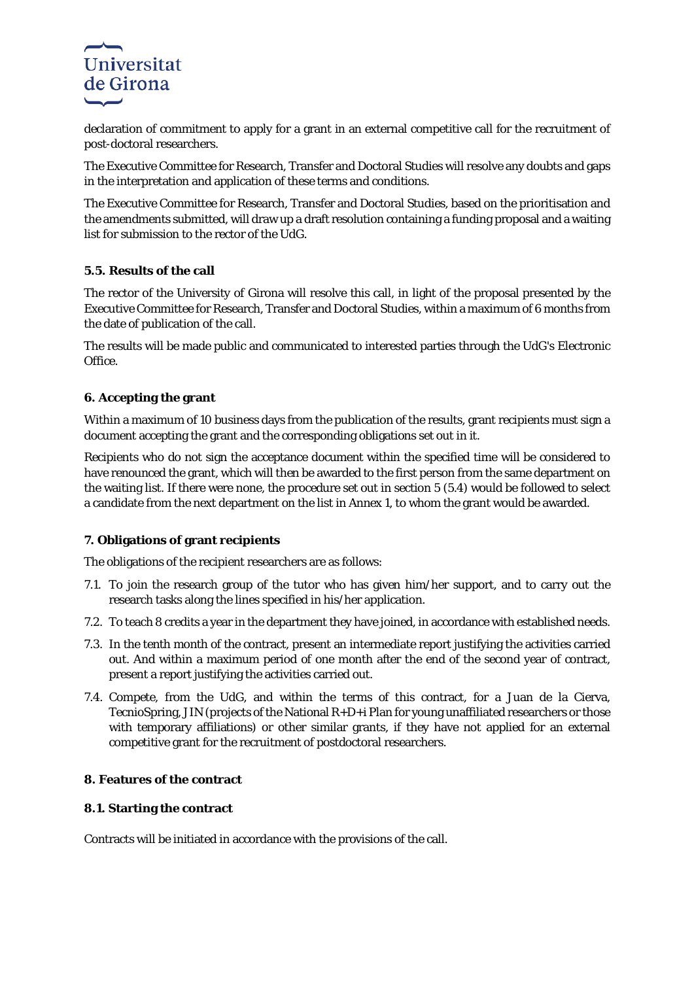

declaration of commitment to apply for a grant in an external competitive call for the recruitment of post-doctoral researchers.

The Executive Committee for Research, Transfer and Doctoral Studies will resolve any doubts and gaps in the interpretation and application of these terms and conditions.

The Executive Committee for Research, Transfer and Doctoral Studies, based on the prioritisation and the amendments submitted, will draw up a draft resolution containing a funding proposal and a waiting list for submission to the rector of the UdG.

#### **5.5. Results of the call**

The rector of the University of Girona will resolve this call, in light of the proposal presented by the Executive Committee for Research, Transfer and Doctoral Studies, within a maximum of 6 months from the date of publication of the call.

The results will be made public and communicated to interested parties through the UdG's Electronic Office.

## **6. Accepting the grant**

Within a maximum of 10 business days from the publication of the results, grant recipients must sign a document accepting the grant and the corresponding obligations set out in it.

Recipients who do not sign the acceptance document within the specified time will be considered to have renounced the grant, which will then be awarded to the first person from the same department on the waiting list. If there were none, the procedure set out in section 5 (5.4) would be followed to select a candidate from the next department on the list in Annex 1, to whom the grant would be awarded.

## **7. Obligations of grant recipients**

The obligations of the recipient researchers are as follows:

- 7.1. To join the research group of the tutor who has given him/her support, and to carry out the research tasks along the lines specified in his/her application.
- 7.2. To teach 8 credits a year in the department they have joined, in accordance with established needs.
- 7.3. In the tenth month of the contract, present an intermediate report justifying the activities carried out. And within a maximum period of one month after the end of the second year of contract, present a report justifying the activities carried out.
- 7.4. Compete, from the UdG, and within the terms of this contract, for a Juan de la Cierva, TecnioSpring, JIN (projects of the National R+D+i Plan for young unaffiliated researchers or those with temporary affiliations) or other similar grants, if they have not applied for an external competitive grant for the recruitment of postdoctoral researchers.

#### **8. Features of the contract**

## **8.1. Starting the contract**

Contracts will be initiated in accordance with the provisions of the call.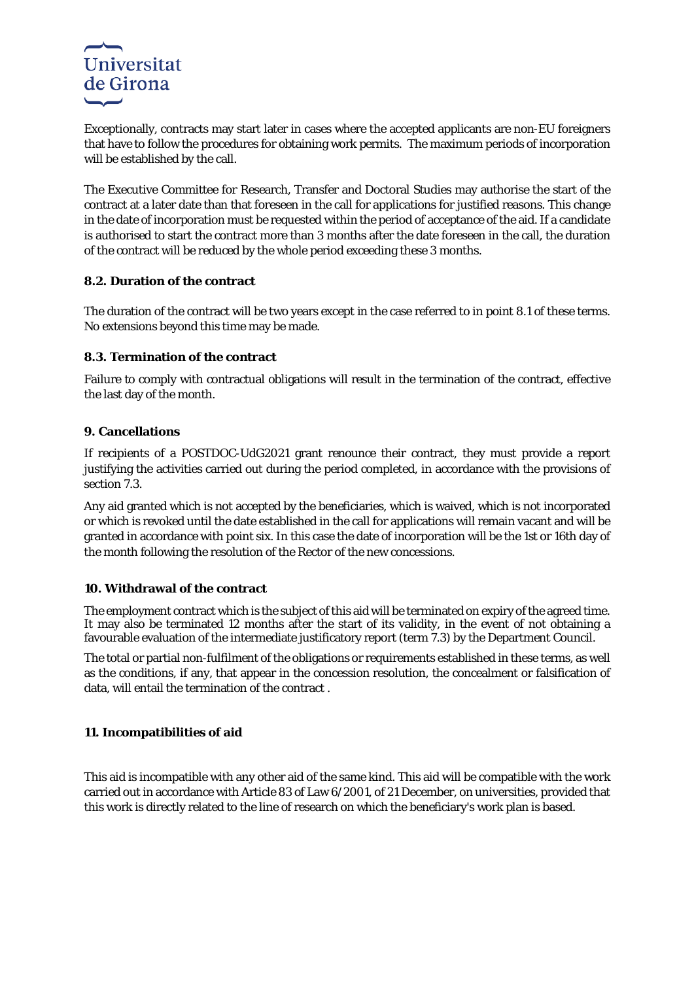

Exceptionally, contracts may start later in cases where the accepted applicants are non-EU foreigners that have to follow the procedures for obtaining work permits. The maximum periods of incorporation will be established by the call.

The Executive Committee for Research, Transfer and Doctoral Studies may authorise the start of the contract at a later date than that foreseen in the call for applications for justified reasons. This change in the date of incorporation must be requested within the period of acceptance of the aid. If a candidate is authorised to start the contract more than 3 months after the date foreseen in the call, the duration of the contract will be reduced by the whole period exceeding these 3 months.

## **8.2. Duration of the contract**

The duration of the contract will be two years except in the case referred to in point 8.1 of these terms. No extensions beyond this time may be made.

## **8.3. Termination of the contract**

Failure to comply with contractual obligations will result in the termination of the contract, effective the last day of the month.

## **9. Cancellations**

If recipients of a POSTDOC-UdG2021 grant renounce their contract, they must provide a report justifying the activities carried out during the period completed, in accordance with the provisions of section 7.3.

Any aid granted which is not accepted by the beneficiaries, which is waived, which is not incorporated or which is revoked until the date established in the call for applications will remain vacant and will be granted in accordance with point six. In this case the date of incorporation will be the 1st or 16th day of the month following the resolution of the Rector of the new concessions.

#### **10. Withdrawal of the contract**

The employment contract which is the subject of this aid will be terminated on expiry of the agreed time. It may also be terminated 12 months after the start of its validity, in the event of not obtaining a favourable evaluation of the intermediate justificatory report (term 7.3) by the Department Council.

The total or partial non-fulfilment of the obligations or requirements established in these terms, as well as the conditions, if any, that appear in the concession resolution, the concealment or falsification of data, will entail the termination of the contract .

## **11. Incompatibilities of aid**

This aid is incompatible with any other aid of the same kind. This aid will be compatible with the work carried out in accordance with Article 83 of Law 6/2001, of 21 December, on universities, provided that this work is directly related to the line of research on which the beneficiary's work plan is based.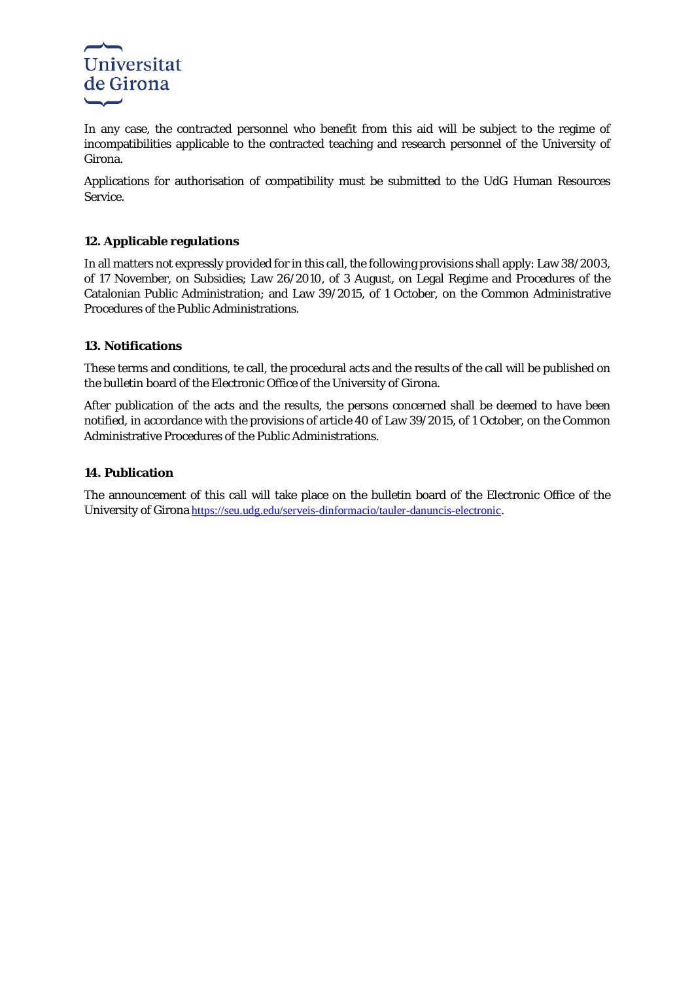

In any case, the contracted personnel who benefit from this aid will be subject to the regime of incompatibilities applicable to the contracted teaching and research personnel of the University of Girona.

Applications for authorisation of compatibility must be submitted to the UdG Human Resources Service.

## **12. Applicable regulations**

In all matters not expressly provided for in this call, the following provisions shall apply: Law 38/2003, of 17 November, on Subsidies; Law 26/2010, of 3 August, on Legal Regime and Procedures of the Catalonian Public Administration; and Law 39/2015, of 1 October, on the Common Administrative Procedures of the Public Administrations.

#### **13. Notifications**

These terms and conditions, te call, the procedural acts and the results of the call will be published on the bulletin board of the Electronic Office of the University of Girona.

After publication of the acts and the results, the persons concerned shall be deemed to have been notified, in accordance with the provisions of article 40 of Law 39/2015, of 1 October, on the Common Administrative Procedures of the Public Administrations.

#### **14. Publication**

The announcement of this call will take place on the bulletin board of the Electronic Office of the University of Girona <https://seu.udg.edu/serveis-dinformacio/tauler-danuncis-electronic>.